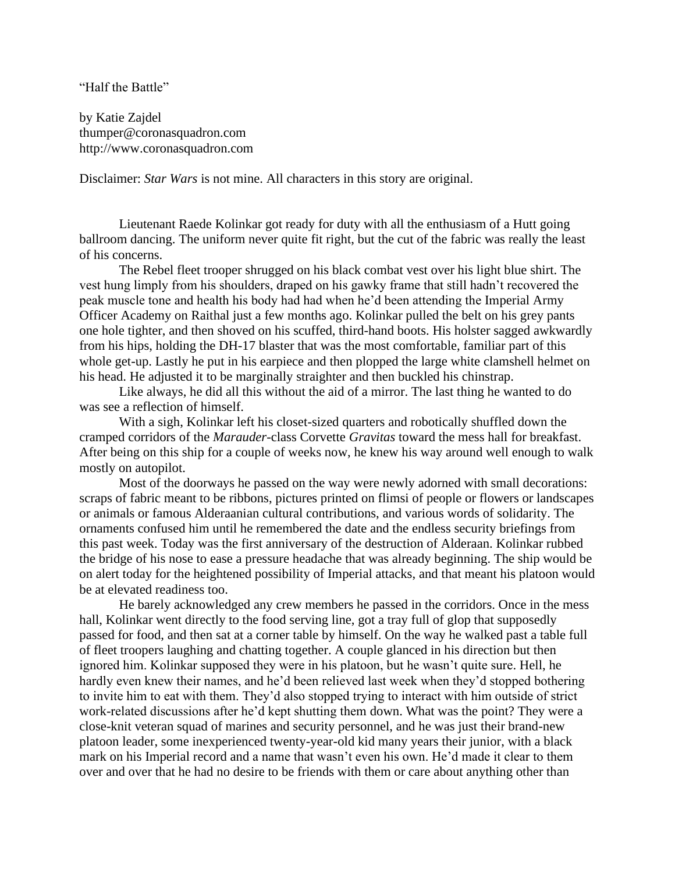## "Half the Battle"

by Katie Zajdel thumper@coronasquadron.com http://www.coronasquadron.com

Disclaimer: *Star Wars* is not mine. All characters in this story are original.

Lieutenant Raede Kolinkar got ready for duty with all the enthusiasm of a Hutt going ballroom dancing. The uniform never quite fit right, but the cut of the fabric was really the least of his concerns.

The Rebel fleet trooper shrugged on his black combat vest over his light blue shirt. The vest hung limply from his shoulders, draped on his gawky frame that still hadn't recovered the peak muscle tone and health his body had had when he'd been attending the Imperial Army Officer Academy on Raithal just a few months ago. Kolinkar pulled the belt on his grey pants one hole tighter, and then shoved on his scuffed, third-hand boots. His holster sagged awkwardly from his hips, holding the DH-17 blaster that was the most comfortable, familiar part of this whole get-up. Lastly he put in his earpiece and then plopped the large white clamshell helmet on his head. He adjusted it to be marginally straighter and then buckled his chinstrap.

Like always, he did all this without the aid of a mirror. The last thing he wanted to do was see a reflection of himself.

With a sigh, Kolinkar left his closet-sized quarters and robotically shuffled down the cramped corridors of the *Marauder*-class Corvette *Gravitas* toward the mess hall for breakfast. After being on this ship for a couple of weeks now, he knew his way around well enough to walk mostly on autopilot.

Most of the doorways he passed on the way were newly adorned with small decorations: scraps of fabric meant to be ribbons, pictures printed on flimsi of people or flowers or landscapes or animals or famous Alderaanian cultural contributions, and various words of solidarity. The ornaments confused him until he remembered the date and the endless security briefings from this past week. Today was the first anniversary of the destruction of Alderaan. Kolinkar rubbed the bridge of his nose to ease a pressure headache that was already beginning. The ship would be on alert today for the heightened possibility of Imperial attacks, and that meant his platoon would be at elevated readiness too.

He barely acknowledged any crew members he passed in the corridors. Once in the mess hall, Kolinkar went directly to the food serving line, got a tray full of glop that supposedly passed for food, and then sat at a corner table by himself. On the way he walked past a table full of fleet troopers laughing and chatting together. A couple glanced in his direction but then ignored him. Kolinkar supposed they were in his platoon, but he wasn't quite sure. Hell, he hardly even knew their names, and he'd been relieved last week when they'd stopped bothering to invite him to eat with them. They'd also stopped trying to interact with him outside of strict work-related discussions after he'd kept shutting them down. What was the point? They were a close-knit veteran squad of marines and security personnel, and he was just their brand-new platoon leader, some inexperienced twenty-year-old kid many years their junior, with a black mark on his Imperial record and a name that wasn't even his own. He'd made it clear to them over and over that he had no desire to be friends with them or care about anything other than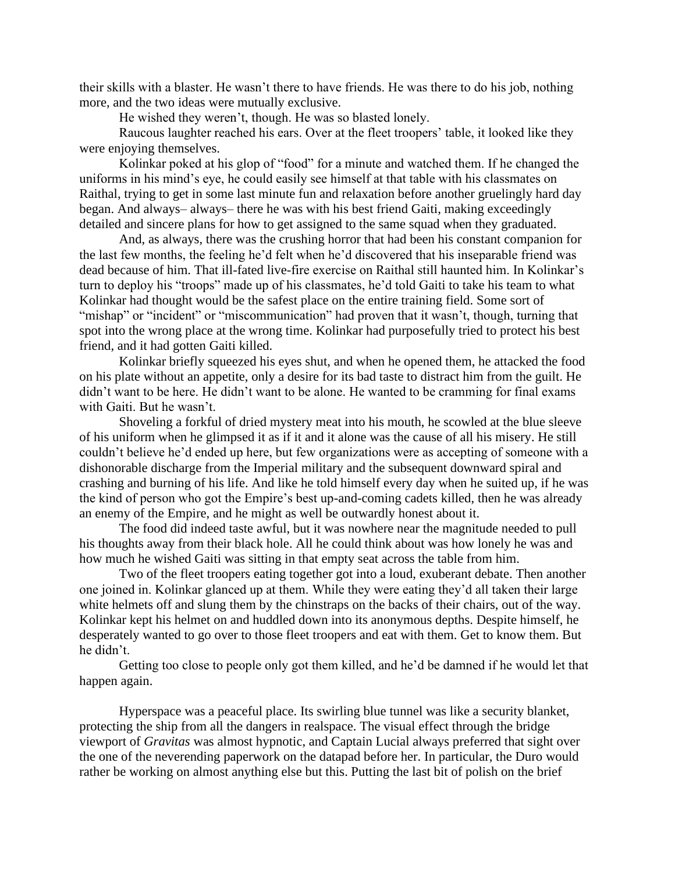their skills with a blaster. He wasn't there to have friends. He was there to do his job, nothing more, and the two ideas were mutually exclusive.

He wished they weren't, though. He was so blasted lonely.

Raucous laughter reached his ears. Over at the fleet troopers' table, it looked like they were enjoying themselves.

Kolinkar poked at his glop of "food" for a minute and watched them. If he changed the uniforms in his mind's eye, he could easily see himself at that table with his classmates on Raithal, trying to get in some last minute fun and relaxation before another gruelingly hard day began. And always– always– there he was with his best friend Gaiti, making exceedingly detailed and sincere plans for how to get assigned to the same squad when they graduated.

And, as always, there was the crushing horror that had been his constant companion for the last few months, the feeling he'd felt when he'd discovered that his inseparable friend was dead because of him. That ill-fated live-fire exercise on Raithal still haunted him. In Kolinkar's turn to deploy his "troops" made up of his classmates, he'd told Gaiti to take his team to what Kolinkar had thought would be the safest place on the entire training field. Some sort of "mishap" or "incident" or "miscommunication" had proven that it wasn't, though, turning that spot into the wrong place at the wrong time. Kolinkar had purposefully tried to protect his best friend, and it had gotten Gaiti killed.

Kolinkar briefly squeezed his eyes shut, and when he opened them, he attacked the food on his plate without an appetite, only a desire for its bad taste to distract him from the guilt. He didn't want to be here. He didn't want to be alone. He wanted to be cramming for final exams with Gaiti. But he wasn't.

Shoveling a forkful of dried mystery meat into his mouth, he scowled at the blue sleeve of his uniform when he glimpsed it as if it and it alone was the cause of all his misery. He still couldn't believe he'd ended up here, but few organizations were as accepting of someone with a dishonorable discharge from the Imperial military and the subsequent downward spiral and crashing and burning of his life. And like he told himself every day when he suited up, if he was the kind of person who got the Empire's best up-and-coming cadets killed, then he was already an enemy of the Empire, and he might as well be outwardly honest about it.

The food did indeed taste awful, but it was nowhere near the magnitude needed to pull his thoughts away from their black hole. All he could think about was how lonely he was and how much he wished Gaiti was sitting in that empty seat across the table from him.

Two of the fleet troopers eating together got into a loud, exuberant debate. Then another one joined in. Kolinkar glanced up at them. While they were eating they'd all taken their large white helmets off and slung them by the chinstraps on the backs of their chairs, out of the way. Kolinkar kept his helmet on and huddled down into its anonymous depths. Despite himself, he desperately wanted to go over to those fleet troopers and eat with them. Get to know them. But he didn't.

Getting too close to people only got them killed, and he'd be damned if he would let that happen again.

Hyperspace was a peaceful place. Its swirling blue tunnel was like a security blanket, protecting the ship from all the dangers in realspace. The visual effect through the bridge viewport of *Gravitas* was almost hypnotic, and Captain Lucial always preferred that sight over the one of the neverending paperwork on the datapad before her. In particular, the Duro would rather be working on almost anything else but this. Putting the last bit of polish on the brief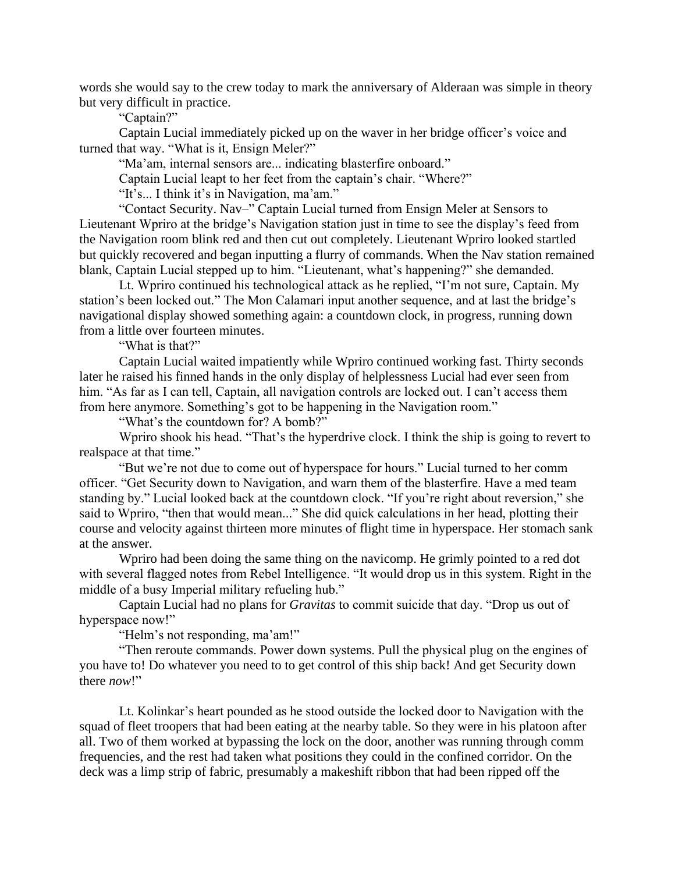words she would say to the crew today to mark the anniversary of Alderaan was simple in theory but very difficult in practice.

"Captain?"

Captain Lucial immediately picked up on the waver in her bridge officer's voice and turned that way. "What is it, Ensign Meler?"

"Ma'am, internal sensors are... indicating blasterfire onboard."

Captain Lucial leapt to her feet from the captain's chair. "Where?"

"It's... I think it's in Navigation, ma'am."

"Contact Security. Nav–" Captain Lucial turned from Ensign Meler at Sensors to Lieutenant Wpriro at the bridge's Navigation station just in time to see the display's feed from the Navigation room blink red and then cut out completely. Lieutenant Wpriro looked startled but quickly recovered and began inputting a flurry of commands. When the Nav station remained blank, Captain Lucial stepped up to him. "Lieutenant, what's happening?" she demanded.

Lt. Wpriro continued his technological attack as he replied, "I'm not sure, Captain. My station's been locked out." The Mon Calamari input another sequence, and at last the bridge's navigational display showed something again: a countdown clock, in progress, running down from a little over fourteen minutes.

"What is that?"

Captain Lucial waited impatiently while Wpriro continued working fast. Thirty seconds later he raised his finned hands in the only display of helplessness Lucial had ever seen from him. "As far as I can tell, Captain, all navigation controls are locked out. I can't access them from here anymore. Something's got to be happening in the Navigation room."

"What's the countdown for? A bomb?"

Wpriro shook his head. "That's the hyperdrive clock. I think the ship is going to revert to realspace at that time."

"But we're not due to come out of hyperspace for hours." Lucial turned to her comm officer. "Get Security down to Navigation, and warn them of the blasterfire. Have a med team standing by." Lucial looked back at the countdown clock. "If you're right about reversion," she said to Wpriro, "then that would mean..." She did quick calculations in her head, plotting their course and velocity against thirteen more minutes of flight time in hyperspace. Her stomach sank at the answer.

Wpriro had been doing the same thing on the navicomp. He grimly pointed to a red dot with several flagged notes from Rebel Intelligence. "It would drop us in this system. Right in the middle of a busy Imperial military refueling hub."

Captain Lucial had no plans for *Gravitas* to commit suicide that day. "Drop us out of hyperspace now!"

"Helm's not responding, ma'am!"

"Then reroute commands. Power down systems. Pull the physical plug on the engines of you have to! Do whatever you need to to get control of this ship back! And get Security down there *now*!"

Lt. Kolinkar's heart pounded as he stood outside the locked door to Navigation with the squad of fleet troopers that had been eating at the nearby table. So they were in his platoon after all. Two of them worked at bypassing the lock on the door, another was running through comm frequencies, and the rest had taken what positions they could in the confined corridor. On the deck was a limp strip of fabric, presumably a makeshift ribbon that had been ripped off the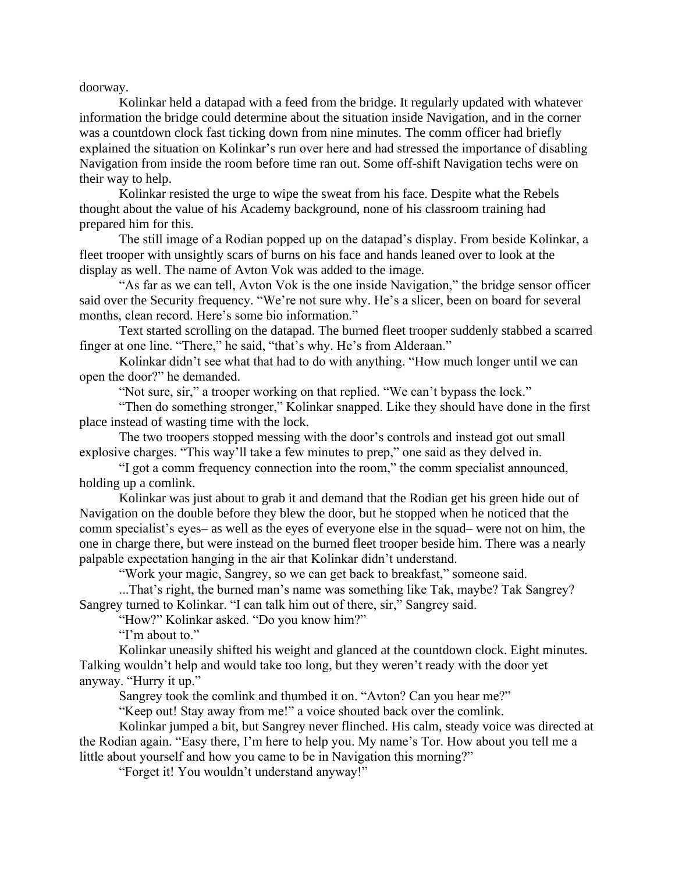doorway.

Kolinkar held a datapad with a feed from the bridge. It regularly updated with whatever information the bridge could determine about the situation inside Navigation, and in the corner was a countdown clock fast ticking down from nine minutes. The comm officer had briefly explained the situation on Kolinkar's run over here and had stressed the importance of disabling Navigation from inside the room before time ran out. Some off-shift Navigation techs were on their way to help.

Kolinkar resisted the urge to wipe the sweat from his face. Despite what the Rebels thought about the value of his Academy background, none of his classroom training had prepared him for this.

The still image of a Rodian popped up on the datapad's display. From beside Kolinkar, a fleet trooper with unsightly scars of burns on his face and hands leaned over to look at the display as well. The name of Avton Vok was added to the image.

"As far as we can tell, Avton Vok is the one inside Navigation," the bridge sensor officer said over the Security frequency. "We're not sure why. He's a slicer, been on board for several months, clean record. Here's some bio information."

Text started scrolling on the datapad. The burned fleet trooper suddenly stabbed a scarred finger at one line. "There," he said, "that's why. He's from Alderaan."

Kolinkar didn't see what that had to do with anything. "How much longer until we can open the door?" he demanded.

"Not sure, sir," a trooper working on that replied. "We can't bypass the lock."

"Then do something stronger," Kolinkar snapped. Like they should have done in the first place instead of wasting time with the lock.

The two troopers stopped messing with the door's controls and instead got out small explosive charges. "This way'll take a few minutes to prep," one said as they delved in.

"I got a comm frequency connection into the room," the comm specialist announced, holding up a comlink.

Kolinkar was just about to grab it and demand that the Rodian get his green hide out of Navigation on the double before they blew the door, but he stopped when he noticed that the comm specialist's eyes– as well as the eyes of everyone else in the squad– were not on him, the one in charge there, but were instead on the burned fleet trooper beside him. There was a nearly palpable expectation hanging in the air that Kolinkar didn't understand.

"Work your magic, Sangrey, so we can get back to breakfast," someone said.

...That's right, the burned man's name was something like Tak, maybe? Tak Sangrey? Sangrey turned to Kolinkar. "I can talk him out of there, sir," Sangrey said.

"How?" Kolinkar asked. "Do you know him?"

"I'm about to."

Kolinkar uneasily shifted his weight and glanced at the countdown clock. Eight minutes. Talking wouldn't help and would take too long, but they weren't ready with the door yet anyway. "Hurry it up."

Sangrey took the comlink and thumbed it on. "Avton? Can you hear me?"

"Keep out! Stay away from me!" a voice shouted back over the comlink.

Kolinkar jumped a bit, but Sangrey never flinched. His calm, steady voice was directed at the Rodian again. "Easy there, I'm here to help you. My name's Tor. How about you tell me a little about yourself and how you came to be in Navigation this morning?"

"Forget it! You wouldn't understand anyway!"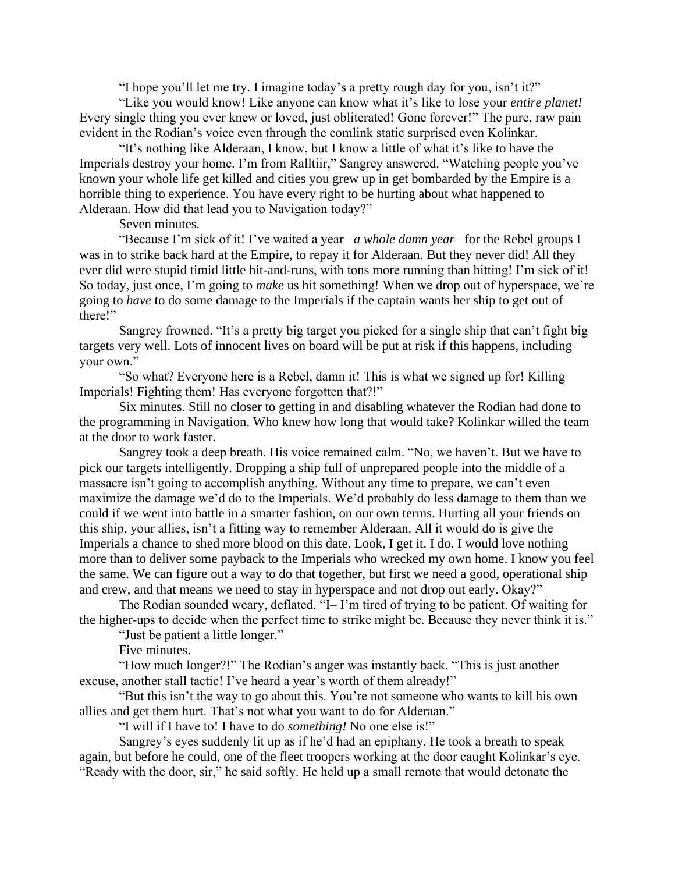"I hope you'll let me try. I imagine today's a pretty rough day for you, isn't it?"

"Like you would know! Like anyone can know what it's like to lose your *entire planet!* Every single thing you ever knew or loved, just obliterated! Gone forever!" The pure, raw pain evident in the Rodian's voice even through the comlink static surprised even Kolinkar.

"It's nothing like Alderaan, I know, but I know a little of what it's like to have the Imperials destroy your home. I'm from Ralltiir," Sangrey answered. "Watching people you've known your whole life get killed and cities you grew up in get bombarded by the Empire is a horrible thing to experience. You have every right to be hurting about what happened to Alderaan. How did that lead you to Navigation today?"

Seven minutes.

"Because I'm sick of it! I've waited a year– *a whole damn year*– for the Rebel groups I was in to strike back hard at the Empire, to repay it for Alderaan. But they never did! All they ever did were stupid timid little hit-and-runs, with tons more running than hitting! I'm sick of it! So today, just once, I'm going to *make* us hit something! When we drop out of hyperspace, we're going to *have* to do some damage to the Imperials if the captain wants her ship to get out of there!"

Sangrey frowned. "It's a pretty big target you picked for a single ship that can't fight big targets very well. Lots of innocent lives on board will be put at risk if this happens, including your own."

"So what? Everyone here is a Rebel, damn it! This is what we signed up for! Killing Imperials! Fighting them! Has everyone forgotten that?!"

Six minutes. Still no closer to getting in and disabling whatever the Rodian had done to the programming in Navigation. Who knew how long that would take? Kolinkar willed the team at the door to work faster.

Sangrey took a deep breath. His voice remained calm. "No, we haven't. But we have to pick our targets intelligently. Dropping a ship full of unprepared people into the middle of a massacre isn't going to accomplish anything. Without any time to prepare, we can't even maximize the damage we'd do to the Imperials. We'd probably do less damage to them than we could if we went into battle in a smarter fashion, on our own terms. Hurting all your friends on this ship, your allies, isn't a fitting way to remember Alderaan. All it would do is give the Imperials a chance to shed more blood on this date. Look, I get it. I do. I would love nothing more than to deliver some payback to the Imperials who wrecked my own home. I know you feel the same. We can figure out a way to do that together, but first we need a good, operational ship and crew, and that means we need to stay in hyperspace and not drop out early. Okay?"

The Rodian sounded weary, deflated. "I– I'm tired of trying to be patient. Of waiting for the higher-ups to decide when the perfect time to strike might be. Because they never think it is."

"Just be patient a little longer."

Five minutes.

"How much longer?!" The Rodian's anger was instantly back. "This is just another excuse, another stall tactic! I've heard a year's worth of them already!"

"But this isn't the way to go about this. You're not someone who wants to kill his own allies and get them hurt. That's not what you want to do for Alderaan."

"I will if I have to! I have to do *something!* No one else is!"

Sangrey's eyes suddenly lit up as if he'd had an epiphany. He took a breath to speak again, but before he could, one of the fleet troopers working at the door caught Kolinkar's eye. "Ready with the door, sir," he said softly. He held up a small remote that would detonate the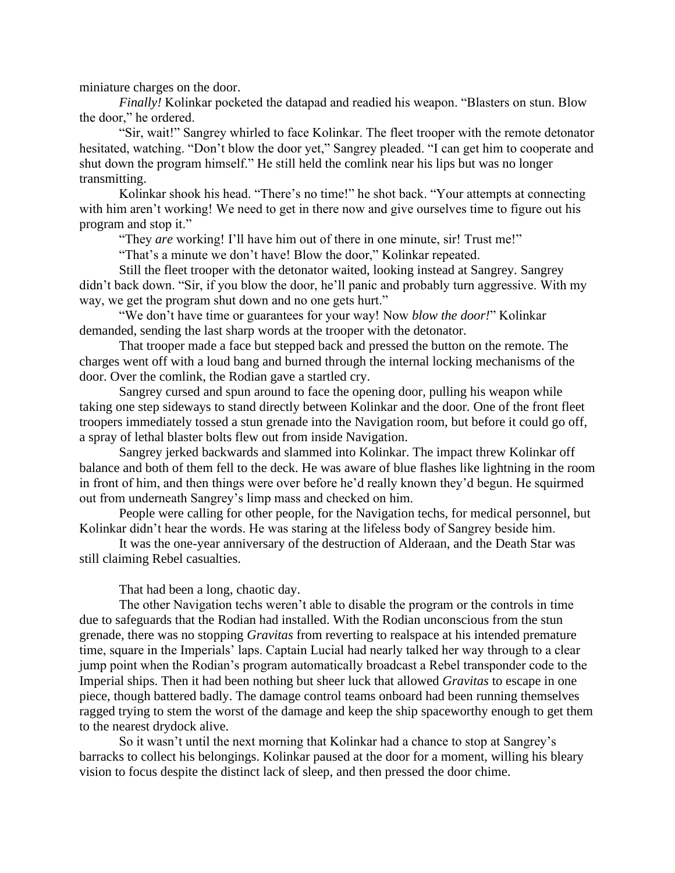miniature charges on the door.

*Finally!* Kolinkar pocketed the datapad and readied his weapon. "Blasters on stun. Blow the door," he ordered.

"Sir, wait!" Sangrey whirled to face Kolinkar. The fleet trooper with the remote detonator hesitated, watching. "Don't blow the door yet," Sangrey pleaded. "I can get him to cooperate and shut down the program himself." He still held the comlink near his lips but was no longer transmitting.

Kolinkar shook his head. "There's no time!" he shot back. "Your attempts at connecting with him aren't working! We need to get in there now and give ourselves time to figure out his program and stop it."

"They *are* working! I'll have him out of there in one minute, sir! Trust me!"

"That's a minute we don't have! Blow the door," Kolinkar repeated.

Still the fleet trooper with the detonator waited, looking instead at Sangrey. Sangrey didn't back down. "Sir, if you blow the door, he'll panic and probably turn aggressive. With my way, we get the program shut down and no one gets hurt."

"We don't have time or guarantees for your way! Now *blow the door!*" Kolinkar demanded, sending the last sharp words at the trooper with the detonator.

That trooper made a face but stepped back and pressed the button on the remote. The charges went off with a loud bang and burned through the internal locking mechanisms of the door. Over the comlink, the Rodian gave a startled cry.

Sangrey cursed and spun around to face the opening door, pulling his weapon while taking one step sideways to stand directly between Kolinkar and the door. One of the front fleet troopers immediately tossed a stun grenade into the Navigation room, but before it could go off, a spray of lethal blaster bolts flew out from inside Navigation.

Sangrey jerked backwards and slammed into Kolinkar. The impact threw Kolinkar off balance and both of them fell to the deck. He was aware of blue flashes like lightning in the room in front of him, and then things were over before he'd really known they'd begun. He squirmed out from underneath Sangrey's limp mass and checked on him.

People were calling for other people, for the Navigation techs, for medical personnel, but Kolinkar didn't hear the words. He was staring at the lifeless body of Sangrey beside him.

It was the one-year anniversary of the destruction of Alderaan, and the Death Star was still claiming Rebel casualties.

That had been a long, chaotic day.

The other Navigation techs weren't able to disable the program or the controls in time due to safeguards that the Rodian had installed. With the Rodian unconscious from the stun grenade, there was no stopping *Gravitas* from reverting to realspace at his intended premature time, square in the Imperials' laps. Captain Lucial had nearly talked her way through to a clear jump point when the Rodian's program automatically broadcast a Rebel transponder code to the Imperial ships. Then it had been nothing but sheer luck that allowed *Gravitas* to escape in one piece, though battered badly. The damage control teams onboard had been running themselves ragged trying to stem the worst of the damage and keep the ship spaceworthy enough to get them to the nearest drydock alive.

So it wasn't until the next morning that Kolinkar had a chance to stop at Sangrey's barracks to collect his belongings. Kolinkar paused at the door for a moment, willing his bleary vision to focus despite the distinct lack of sleep, and then pressed the door chime.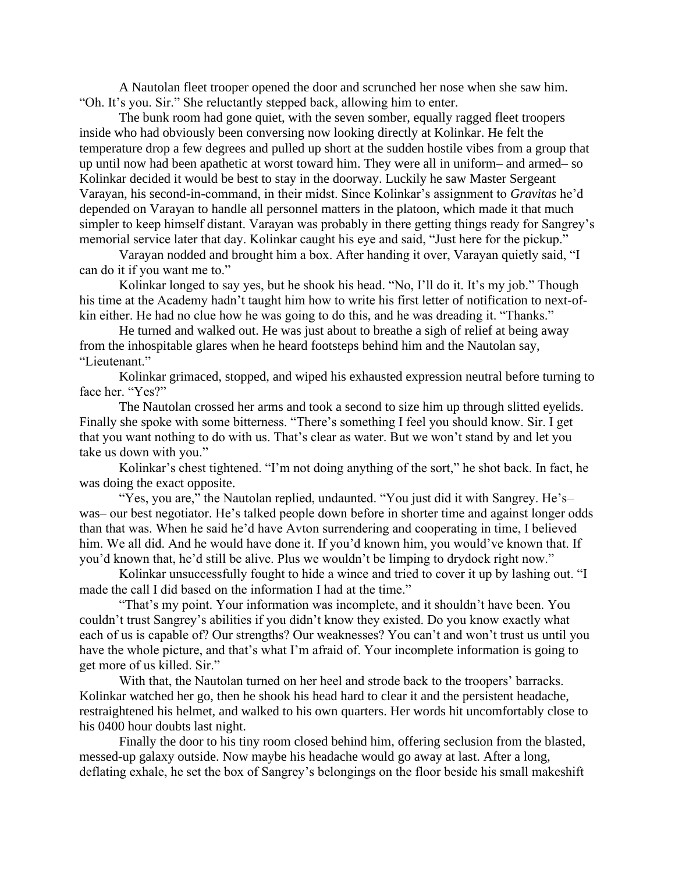A Nautolan fleet trooper opened the door and scrunched her nose when she saw him. "Oh. It's you. Sir." She reluctantly stepped back, allowing him to enter.

The bunk room had gone quiet, with the seven somber, equally ragged fleet troopers inside who had obviously been conversing now looking directly at Kolinkar. He felt the temperature drop a few degrees and pulled up short at the sudden hostile vibes from a group that up until now had been apathetic at worst toward him. They were all in uniform– and armed– so Kolinkar decided it would be best to stay in the doorway. Luckily he saw Master Sergeant Varayan, his second-in-command, in their midst. Since Kolinkar's assignment to *Gravitas* he'd depended on Varayan to handle all personnel matters in the platoon, which made it that much simpler to keep himself distant. Varayan was probably in there getting things ready for Sangrey's memorial service later that day. Kolinkar caught his eye and said, "Just here for the pickup."

Varayan nodded and brought him a box. After handing it over, Varayan quietly said, "I can do it if you want me to."

Kolinkar longed to say yes, but he shook his head. "No, I'll do it. It's my job." Though his time at the Academy hadn't taught him how to write his first letter of notification to next-ofkin either. He had no clue how he was going to do this, and he was dreading it. "Thanks."

He turned and walked out. He was just about to breathe a sigh of relief at being away from the inhospitable glares when he heard footsteps behind him and the Nautolan say, "Lieutenant."

Kolinkar grimaced, stopped, and wiped his exhausted expression neutral before turning to face her. "Yes?"

The Nautolan crossed her arms and took a second to size him up through slitted eyelids. Finally she spoke with some bitterness. "There's something I feel you should know. Sir. I get that you want nothing to do with us. That's clear as water. But we won't stand by and let you take us down with you."

Kolinkar's chest tightened. "I'm not doing anything of the sort," he shot back. In fact, he was doing the exact opposite.

"Yes, you are," the Nautolan replied, undaunted. "You just did it with Sangrey. He's– was– our best negotiator. He's talked people down before in shorter time and against longer odds than that was. When he said he'd have Avton surrendering and cooperating in time, I believed him. We all did. And he would have done it. If you'd known him, you would've known that. If you'd known that, he'd still be alive. Plus we wouldn't be limping to drydock right now."

Kolinkar unsuccessfully fought to hide a wince and tried to cover it up by lashing out. "I made the call I did based on the information I had at the time."

"That's my point. Your information was incomplete, and it shouldn't have been. You couldn't trust Sangrey's abilities if you didn't know they existed. Do you know exactly what each of us is capable of? Our strengths? Our weaknesses? You can't and won't trust us until you have the whole picture, and that's what I'm afraid of. Your incomplete information is going to get more of us killed. Sir."

With that, the Nautolan turned on her heel and strode back to the troopers' barracks. Kolinkar watched her go, then he shook his head hard to clear it and the persistent headache, restraightened his helmet, and walked to his own quarters. Her words hit uncomfortably close to his 0400 hour doubts last night.

Finally the door to his tiny room closed behind him, offering seclusion from the blasted, messed-up galaxy outside. Now maybe his headache would go away at last. After a long, deflating exhale, he set the box of Sangrey's belongings on the floor beside his small makeshift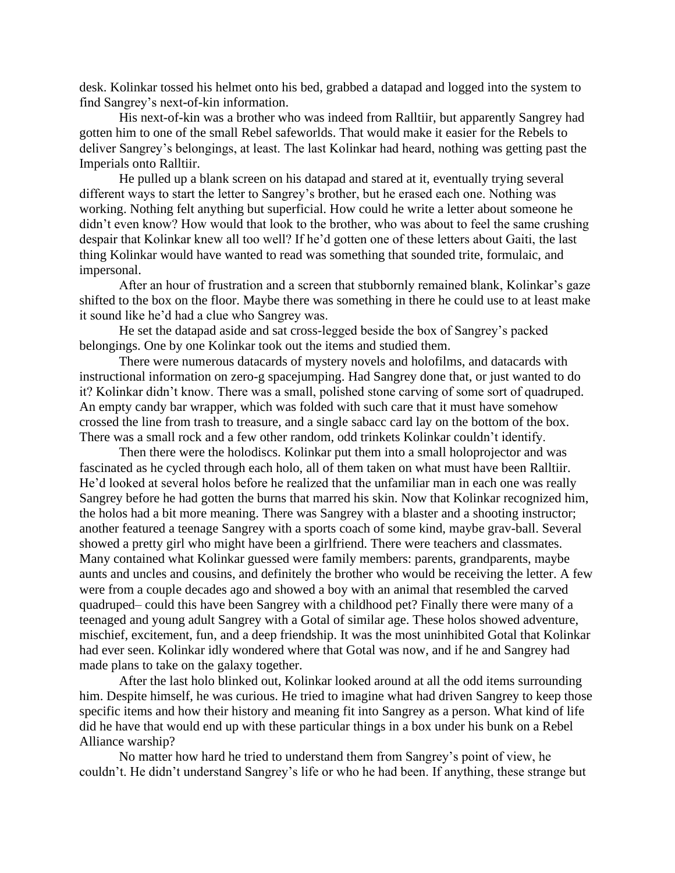desk. Kolinkar tossed his helmet onto his bed, grabbed a datapad and logged into the system to find Sangrey's next-of-kin information.

His next-of-kin was a brother who was indeed from Ralltiir, but apparently Sangrey had gotten him to one of the small Rebel safeworlds. That would make it easier for the Rebels to deliver Sangrey's belongings, at least. The last Kolinkar had heard, nothing was getting past the Imperials onto Ralltiir.

He pulled up a blank screen on his datapad and stared at it, eventually trying several different ways to start the letter to Sangrey's brother, but he erased each one. Nothing was working. Nothing felt anything but superficial. How could he write a letter about someone he didn't even know? How would that look to the brother, who was about to feel the same crushing despair that Kolinkar knew all too well? If he'd gotten one of these letters about Gaiti, the last thing Kolinkar would have wanted to read was something that sounded trite, formulaic, and impersonal.

After an hour of frustration and a screen that stubbornly remained blank, Kolinkar's gaze shifted to the box on the floor. Maybe there was something in there he could use to at least make it sound like he'd had a clue who Sangrey was.

He set the datapad aside and sat cross-legged beside the box of Sangrey's packed belongings. One by one Kolinkar took out the items and studied them.

There were numerous datacards of mystery novels and holofilms, and datacards with instructional information on zero-g spacejumping. Had Sangrey done that, or just wanted to do it? Kolinkar didn't know. There was a small, polished stone carving of some sort of quadruped. An empty candy bar wrapper, which was folded with such care that it must have somehow crossed the line from trash to treasure, and a single sabacc card lay on the bottom of the box. There was a small rock and a few other random, odd trinkets Kolinkar couldn't identify.

Then there were the holodiscs. Kolinkar put them into a small holoprojector and was fascinated as he cycled through each holo, all of them taken on what must have been Ralltiir. He'd looked at several holos before he realized that the unfamiliar man in each one was really Sangrey before he had gotten the burns that marred his skin. Now that Kolinkar recognized him, the holos had a bit more meaning. There was Sangrey with a blaster and a shooting instructor; another featured a teenage Sangrey with a sports coach of some kind, maybe grav-ball. Several showed a pretty girl who might have been a girlfriend. There were teachers and classmates. Many contained what Kolinkar guessed were family members: parents, grandparents, maybe aunts and uncles and cousins, and definitely the brother who would be receiving the letter. A few were from a couple decades ago and showed a boy with an animal that resembled the carved quadruped– could this have been Sangrey with a childhood pet? Finally there were many of a teenaged and young adult Sangrey with a Gotal of similar age. These holos showed adventure, mischief, excitement, fun, and a deep friendship. It was the most uninhibited Gotal that Kolinkar had ever seen. Kolinkar idly wondered where that Gotal was now, and if he and Sangrey had made plans to take on the galaxy together.

After the last holo blinked out, Kolinkar looked around at all the odd items surrounding him. Despite himself, he was curious. He tried to imagine what had driven Sangrey to keep those specific items and how their history and meaning fit into Sangrey as a person. What kind of life did he have that would end up with these particular things in a box under his bunk on a Rebel Alliance warship?

No matter how hard he tried to understand them from Sangrey's point of view, he couldn't. He didn't understand Sangrey's life or who he had been. If anything, these strange but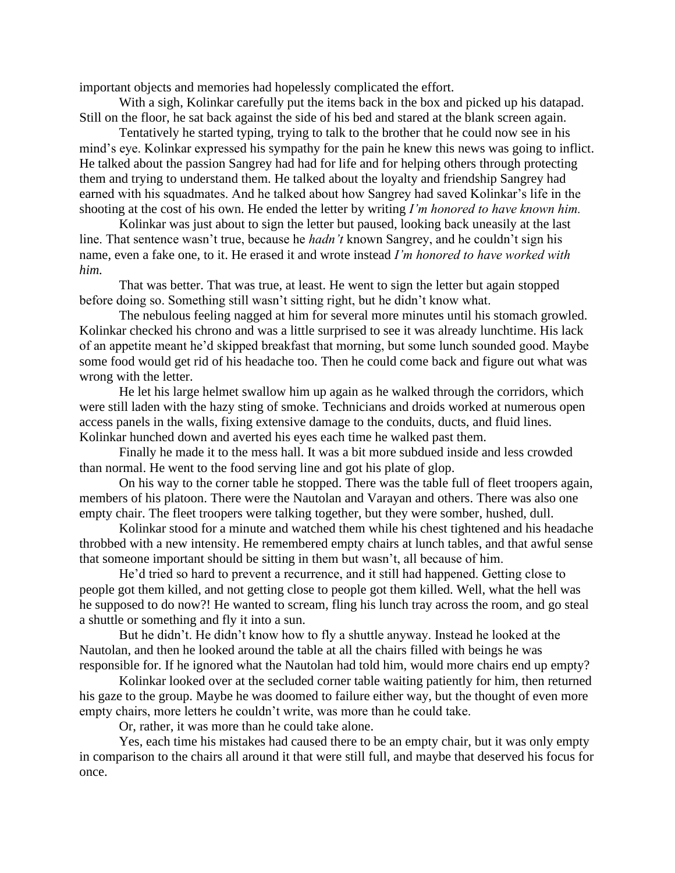important objects and memories had hopelessly complicated the effort.

With a sigh, Kolinkar carefully put the items back in the box and picked up his datapad. Still on the floor, he sat back against the side of his bed and stared at the blank screen again.

Tentatively he started typing, trying to talk to the brother that he could now see in his mind's eye. Kolinkar expressed his sympathy for the pain he knew this news was going to inflict. He talked about the passion Sangrey had had for life and for helping others through protecting them and trying to understand them. He talked about the loyalty and friendship Sangrey had earned with his squadmates. And he talked about how Sangrey had saved Kolinkar's life in the shooting at the cost of his own. He ended the letter by writing *I'm honored to have known him.*

Kolinkar was just about to sign the letter but paused, looking back uneasily at the last line. That sentence wasn't true, because he *hadn't* known Sangrey, and he couldn't sign his name, even a fake one, to it. He erased it and wrote instead *I'm honored to have worked with him.*

That was better. That was true, at least. He went to sign the letter but again stopped before doing so. Something still wasn't sitting right, but he didn't know what.

The nebulous feeling nagged at him for several more minutes until his stomach growled. Kolinkar checked his chrono and was a little surprised to see it was already lunchtime. His lack of an appetite meant he'd skipped breakfast that morning, but some lunch sounded good. Maybe some food would get rid of his headache too. Then he could come back and figure out what was wrong with the letter.

He let his large helmet swallow him up again as he walked through the corridors, which were still laden with the hazy sting of smoke. Technicians and droids worked at numerous open access panels in the walls, fixing extensive damage to the conduits, ducts, and fluid lines. Kolinkar hunched down and averted his eyes each time he walked past them.

Finally he made it to the mess hall. It was a bit more subdued inside and less crowded than normal. He went to the food serving line and got his plate of glop.

On his way to the corner table he stopped. There was the table full of fleet troopers again, members of his platoon. There were the Nautolan and Varayan and others. There was also one empty chair. The fleet troopers were talking together, but they were somber, hushed, dull.

Kolinkar stood for a minute and watched them while his chest tightened and his headache throbbed with a new intensity. He remembered empty chairs at lunch tables, and that awful sense that someone important should be sitting in them but wasn't, all because of him.

He'd tried so hard to prevent a recurrence, and it still had happened. Getting close to people got them killed, and not getting close to people got them killed. Well, what the hell was he supposed to do now?! He wanted to scream, fling his lunch tray across the room, and go steal a shuttle or something and fly it into a sun.

But he didn't. He didn't know how to fly a shuttle anyway. Instead he looked at the Nautolan, and then he looked around the table at all the chairs filled with beings he was responsible for. If he ignored what the Nautolan had told him, would more chairs end up empty?

Kolinkar looked over at the secluded corner table waiting patiently for him, then returned his gaze to the group. Maybe he was doomed to failure either way, but the thought of even more empty chairs, more letters he couldn't write, was more than he could take.

Or, rather, it was more than he could take alone.

Yes, each time his mistakes had caused there to be an empty chair, but it was only empty in comparison to the chairs all around it that were still full, and maybe that deserved his focus for once.